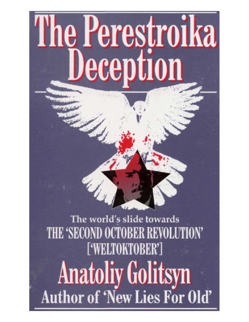# The Perestroika Deception

The world's slide towards THE 'SECOND OCTOBER REVOLUTION' ['WELTOKTOBER'] **The Perestroid** Anatoliy Golitsyn's first book, 'New Lies for Old', caused a long-running sensation when it was discovered that, unlike Author of 'New Lies For Old'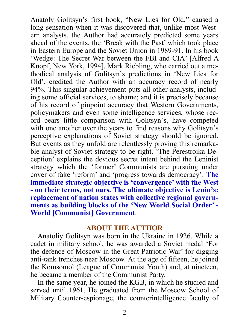Anatoly Golitsyn's first book, "New Lies for Old," caused a long sensation when it was discovered that, unlike most Western analysts, the Author had accurately predicted some years ahead of the events, the 'Break with the Past' which took place in Eastern Europe and the Soviet Union in 1989-91. In his book 'Wedge: The Secret War between the FBI and CIA' [Alfred A Knopf, New York, 1994], Mark Riebling, who carried out a methodical analysis of Golitsyn's predictions in 'New Lies for Old', credited the Author with an accuracy record of nearly 94%. This singular achievement puts all other analysts, including some official services, to shame; and it is precisely because of his record of pinpoint accuracy that Western Governments, policymakers and even some intelligence services, whose record bears little comparison with Golitsyn's, have competed with one another over the years to find reasons why Golitsyn's perceptive explanations of Soviet strategy should be ignored. But events as they unfold are relentlessly proving this remarkable analyst of Soviet strategy to be right. 'The Perestroika Deception' explains the devious secret intent behind the Leninist strategy which the 'former' Communists are pursuing under cover of fake 'reform' and 'progress towards democracy'. **The immediate strategic objective is 'convergence' with the West - on their terms, not ours. The ultimate objective is Lenin's: replacement of nation states with collective regional governments as building blocks of the 'New World Social Order' - World [Communist] Government**.

#### **ABOUT THE AUTHOR**

Anatoliy Golitsyn was born in the Ukraine in 1926. While a cadet in military school, he was awarded a Soviet medal 'For the defence of Moscow in the Great Patriotic War' for digging anti-tank trenches near Moscow. At the age of fifteen, he joined the Komsomol (League of Communist Youth) and, at nineteen, he became a member of the Communist Party.

In the same year, he joined the KGB, in which he studied and served until 1961. He graduated from the Moscow School of Military Counter-espionage, the counterintelligence faculty of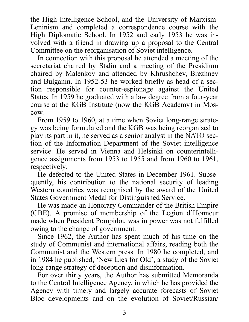the High Intelligence School, and the University of Marxism-Leninism and completed a correspondence course with the High Diplomatic School. In 1952 and early 1953 he was involved with a friend in drawing up a proposal to the Central Committee on the reorganisation of Soviet intelligence.

In connection with this proposal he attended a meeting of the secretariat chaired by Stalin and a meeting of the Presidium chaired by Malenkov and attended by Khrushchev, Brezhnev and Bulganin. In 1952-53 he worked briefly as head of a section responsible for counter-espionage against the United States. In 1959 he graduated with a law degree from a four-year course at the KGB Institute (now the KGB Academy) in Moscow.

From 1959 to 1960, at a time when Soviet long-range strategy was being formulated and the KGB was being reorganised to play its part in it, he served as a senior analyst in the NATO section of the Information Department of the Soviet intelligence service. He served in Vienna and Helsinki on counterintelligence assignments from 1953 to 1955 and from 1960 to 1961, respectively.

He defected to the United States in December 1961. Subsequently, his contribution to the national security of leading Western countries was recognised by the award of the United States Government Medal for Distinguished Service.

He was made an Honorary Commander of the British Empire (CBE). A promise of membership of the Legion d'Honneur made when President Pompidou was in power was not fulfilled owing to the change of government.

Since 1962, the Author has spent much of his time on the study of Communist and international affairs, reading both the Communist and the Western press. In 1980 he completed, and in 1984 he published, 'New Lies for Old', a study of the Soviet long-range strategy of deception and disinformation.

For over thirty years, the Author has submitted Memoranda to the Central Intelligence Agency, in which he has provided the Agency with timely and largely accurate forecasts of Soviet Bloc developments and on the evolution of Soviet/Russian/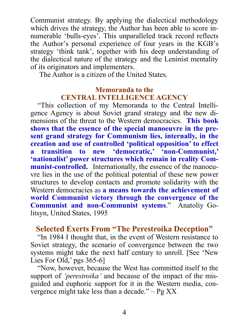Communist strategy. By applying the dialectical methodology which drives the strategy, the Author has been able to score innumerable 'bulls-eyes'. This unparalleled track record reflects the Author's personal experience of four years in the KGB's strategy 'think tank', together with his deep understanding of the dialectical nature of the strategy and the Leninist mentality of its originators and implementers.

The Author is a citizen of the United States.

### **Memoranda to the CENTRAL INTELLIGENCE AGENCY**

"This collection of my Memoranda to the Central Intelligence Agency is about Soviet grand strategy and the new dimensions of the threat to the Western democracies. **This book shows that the essence of the special manoeuvre in the present grand strategy for Communism lies, internally, in the creation and use of controlled 'political opposition' to effect a transition to new 'democratic,' 'non-Communist,' 'nationalist' power structures which remain in reality Communist-controlled.** Internationally, the essence of the manoeuvre lies in the use of the political potential of these new power structures to develop contacts and promote solidarity with the Western democracies as **a means towards the achievement of world Communist victory through the convergence of the Communist and non-Communist systems**." Anatoliy Golitsyn, United States, 1995

## **Selected Exerts From "The Perestroika Deception"**

"In 1984 I thought that, in the event of Western resistance to Soviet strategy, the scenario of convergence between the two systems might take the next half century to unroll. [See 'New Lies For Old,' pgs 365-6]

"Now, however, because the West has committed itself to the support of *'perestroika'* and because of the impact of the misguided and euphoric support for it in the Western media, convergence might take less than a decade."  $-$  Pg XX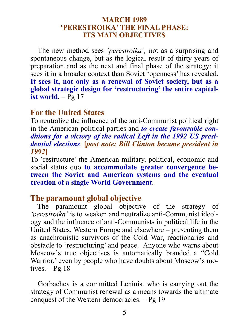### **MARCH 1989 'PERESTROIKA' THE FINAL PHASE: ITS MAIN OBJECTIVES**

The new method sees *'perestroika',* not as a surprising and spontaneous change, but as the logical result of thirty years of preparation and as the next and final phase of the strategy: it sees it in a broader context than Soviet 'openness' has revealed. **It sees it, not only as a renewal of Soviet society, but as a global strategic design for 'restructuring' the entire capitalist world***.* – Pg 17

# **For the United States**

To neutralize the influence of the anti-Communist political right in the American political parties and *to create favourable conditions for a victory of the radical Left in the 1992 US presidential elections*. **[***post note: Bill Clinton became president in 1992***]**

To 'restructure' the American military, political, economic and social status quo **to accommodate greater convergence between the Soviet and American systems and the eventual creation of a single World Government**.

# **The paramount global objective**

The paramount global objective of the strategy of *'perestroika'* is to weaken and neutralize anti-Communist ideology and the influence of anti-Communists in political life in the United States, Western Europe and elsewhere – presenting them as anachronistic survivors of the Cold War, reactionaries and obstacle to 'restructuring' and peace. Anyone who warns about Moscow's true objectives is automatically branded a "Cold Warrior,' even by people who have doubts about Moscow's motives.  $-Pg 18$ 

Gorbachev is a committed Leninist who is carrying out the strategy of Communist renewal as a means towards the ultimate conquest of the Western democracies. – Pg 19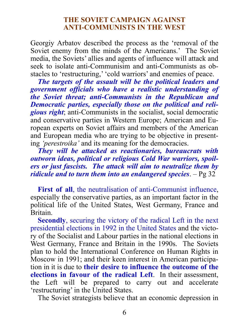#### **THE SOVIET CAMPAIGN AGAINST ANTI-COMMUNISTS IN THE WEST**

Georgiy Arbatov described the process as the 'removal of the Soviet enemy from the minds of the Americans.' The Soviet media, the Soviets' allies and agents of influence will attack and seek to isolate anti-Communisim and anti-Communists as obstacles to 'restructuring,' 'cold warriors' and enemies of peace.

*The targets of the assault will be the political leaders and government officials who have a realistic understanding of the Soviet threat; anti-Communists in the Republican and Democratic parties, especially those on the political and religious right*; anti-Communists in the socialist, social democratic and conservative parties in Western Europe; American and European experts on Soviet affairs and members of the American and European media who are trying to be objective in presenting *'perestroika'* and its meaning for the democracies.

*They will be attacked as reactionaries, bureaucrats with outworn ideas, political or religious Cold War warriors, spoilers or just fascists. The attack will aim to neutralize them by ridicule and to turn them into an endangered species*. – Pg 32

**First of all**, the neutralisation of anti-Communist influence, especially the conservative parties, as an important factor in the political life of the United States, West Germany, France and Britain.

**Secondly**, securing the victory of the radical Left in the next presidential elections in 1992 in the United States and the victory of the Socialist and Labour parties in the national elections in West Germany, France and Britain in the 1990s. The Soviets plan to hold the International Conference on Human Rights in Moscow in 1991; and their keen interest in American participation in it is due to **their desire to influence the outcome of the elections in favour of the radical Left**. In their assessment, the Left will be prepared to carry out and accelerate 'restructuring' in the United States.

The Soviet strategists believe that an economic depression in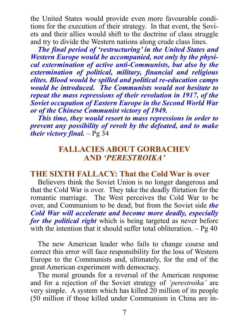the United States would provide even more favourable conditions for the execution of their strategy. In that event, the Soviets and their allies would shift to the doctrine of class struggle and try to divide the Western nations along crude class lines.

*The final period of 'restructuring' in the United States and Western Europe would be accompanied, not only by the physical extermination of active anti-Communists, but also by the extermination of political, military, financial and religious elites. Blood would be spilled and political re-education camps would be introduced. The Communists would not hesitate to repeat the mass repressions of their revolution in 1917, of the Soviet occupation of Eastern Europe in the Second World War or of the Chinese Communist victory of 1949.*

*This time, they would resort to mass repressions in order to prevent any possibility of revolt by the defeated, and to make their victory final.* – Pg 34

# **FALLACIES ABOUT GORBACHEV AND** *'PERESTROIKA'*

# **THE SIXTH FALLACY: That the Cold War is over**

Believers think the Soviet Union is no longer dangerous and that the Cold War is over. They take the deadly flirtation for the romantic marriage. The West perceives the Cold War to be over, and Communism to be dead; but from the Soviet side *the Cold War will accelerate and become more deadly, especially for the political right* which is being targeted as never before with the intention that it should suffer total obliteration.  $-$  Pg 40

The new American leader who fails to change course and correct this error will face responsibility for the loss of Western Europe to the Communists and, ultimately, for the end of the great American experiment with democracy.

The moral grounds for a reversal of the American response and for a rejection of the Soviet strategy of *'perestroika'* are very simple. A system which has killed 20 million of its people (50 million if those killed under Communism in China are in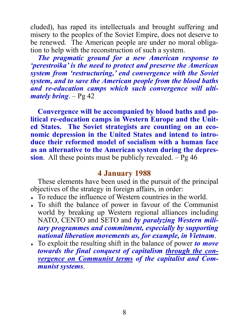cluded), has raped its intellectuals and brought suffering and misery to the peoples of the Soviet Empire, does not deserve to be renewed. The American people are under no moral obligation to help with the reconstruction of such a system.

*The pragmatic ground for a new American response to 'perestroika' is the need to protect and preserve the American system from 'restructuring,' end convergence with the Soviet system, and to save the American people from the blood baths and re-education camps which such convergence will ultimately bring*. – Pg 42

**Convergence will be accompanied by blood baths and political re-education camps in Western Europe and the United States. The Soviet strategists are counting on an economic depression in the United States and intend to introduce their reformed model of socialism with a human face as an alternative to the American system during the depression**. All these points must be publicly revealed. – Pg 46

# **4 January 1988**

These elements have been used in the pursuit of the principal objectives of the strategy in foreign affairs, in order:

- To reduce the influence of Western countries in the world.
- To shift the balance of power in favour of the Communist world by breaking up Western regional alliances including NATO, CENTO and SETO and *by paralyzing Western military programmes and commitment, especially by supporting national liberation movements as, for example, in Vietnam*.
- To exploit the resulting shift in the balance of power *to move towards the final conquest of capitalism through the convergence on Communist terms of the capitalist and Communist systems*.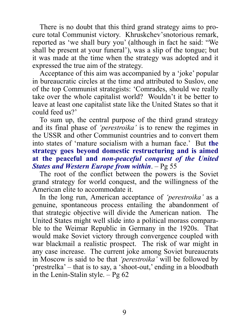There is no doubt that this third grand strategy aims to procure total Communist victory. Khruskchev'snotorious remark, reported as 'we shall bury you' (although in fact he said: "We shall be present at your funeral'), was a slip of the tongue; but it was made at the time when the strategy was adopted and it expressed the true aim of the strategy.

Acceptance of this aim was accompanied by a 'joke' popular in bureaucratic circles at the time and attributed to Suslov, one of the top Communist strategists: 'Comrades, should we really take over the whole capitalist world? Wouldn't it be better to leave at least one capitalist state like the United States so that it could feed us?'

To sum up, the central purpose of the third grand strategy and its final phase of *'perestroika'* is to renew the regimes in the USSR and other Communist countries and to convert them into states of 'mature socialism with a human face.' But **the strategy goes beyond domestic restructuring and is aimed at the peaceful and** *non-peaceful conquest of the United States and Western Europe from within*. – Pg 55

The root of the conflict between the powers is the Soviet grand strategy for world conquest, and the willingness of the American elite to accommodate it.

In the long run, American acceptance of *'perestroika'* as a genuine, spontaneous process entailing the abandonment of that strategic objective will divide the American nation. The United States might well slide into a political morass comparable to the Weimar Republic in Germany in the 1920s. That would make Soviet victory through convergence coupled with war blackmail a realistic prospect. The risk of war might in any case increase. The current joke among Soviet bureaucrats in Moscow is said to be that *'perestroika'* will be followed by 'prestrelka' – that is to say, a 'shoot-out,' ending in a bloodbath in the Lenin-Stalin style.  $-$  Pg 62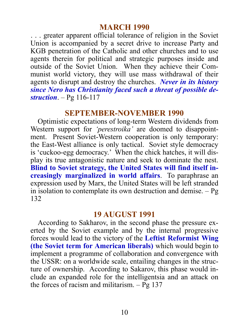## **MARCH 1990**

. . . greater apparent official tolerance of religion in the Soviet Union is accompanied by a secret drive to increase Party and KGB penetration of the Catholic and other churches and to use agents therein for political and strategic purposes inside and outside of the Soviet Union. When they achieve their Communist world victory, they will use mass withdrawal of their agents to disrupt and destroy the churches. *Never in its history since Nero has Christianity faced such a threat of possible destruction*. – Pg 116-117

## **SEPTEMBER-NOVEMBER 1990**

Optimistic expectations of long-term Western dividends from Western support for *'perestroika'* are doomed to disappointment. Present Soviet-Western cooperation is only temporary: the East-West alliance is only tactical. Soviet style democracy is 'cuckoo-egg democracy.' When the chick hatches, it will display its true antagonistic nature and seek to dominate the nest. **Blind to Soviet strategy, the United States will find itself increasingly marginalized in world affairs**. To paraphrase an expression used by Marx, the United States will be left stranded in isolation to contemplate its own destruction and demise.  $-Pg$ 132

#### **19 AUGUST 1991**

According to Sakharov, in the second phase the pressure exerted by the Soviet example and by the internal progressive forces would lead to the victory of the **Leftist Reformist Wing (the Soviet term for American liberals)** which would begin to implement a programme of collaboration and convergence with the USSR: on a worldwide scale, entailing changes in the structure of ownership. According to Sakarov, this phase would include an expanded role for the intelligentsia and an attack on the forces of racism and militarism.  $-$  Pg 137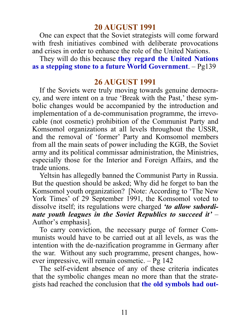# **20 AUGUST 1991**

One can expect that the Soviet strategists will come forward with fresh initiatives combined with deliberate provocations and crises in order to enhance the role of the United Nations.

They will do this because **they regard the United Nations as a stepping stone to a future World Government**. – Pg139

# **26 AUGUST 1991**

If the Soviets were truly moving towards genuine democracy, and were intent on a true 'Break with the Past,' these symbolic changes would be accompanied by the introduction and implementation of a de-communisation programme, the irrevocable (not cosmetic) prohibition of the Communist Party and Komsomol organizations at all levels throughout the USSR, and the removal of 'former' Party and Komsomol members from all the main seats of power including the KGB, the Soviet army and its political commissar administration, the Ministries, especially those for the Interior and Foreign Affairs, and the trade unions.

Yeltsin has allegedly banned the Communist Party in Russia. But the question should be asked; Why did he forget to ban the Komsomol youth organization? [Note: According to 'The New York Times' of 29 September 1991, the Komsomol voted to dissolve itself; its regulations were charged *'to allow subordinate youth leagues in the Soviet Republics to succeed it'* – Author's emphasis].

To carry conviction, the necessary purge of former Communists would have to be carried out at all levels, as was the intention with the de-nazification programme in Germany after the war. Without any such programme, present changes, however impressive, will remain cosmetic. – Pg 142

The self-evident absence of any of these criteria indicates that the symbolic changes mean no more than that the strategists had reached the conclusion that **the old symbols had out-**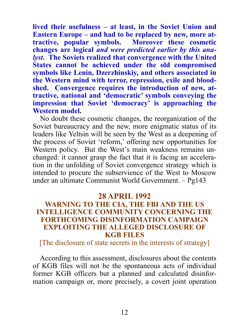**lived their usefulness – at least, in the Soviet Union and Eastern Europe – and had to be replaced by new, more attractive, popular symbols. Moreover these cosmetic changes are logical** *and were predicted earlier by this analyst***. The Soviets realized that convergence with the United States cannot be achieved under the old compromised symbols like Lenin, Dzerzhinskiy, and others associated in the Western mind with terror, repression, exile and bloodshed. Convergence requires the introduction of new, attractive, national and 'democratic' symbols conveying the impression that Soviet 'democracy' is approaching the Western model.**

No doubt these cosmetic changes, the reorganization of the Soviet bureaucracy and the new, more enigmatic status of its leaders like Yeltsin will be seen by the West as a deepening of the process of Soviet 'reform,' offering new opportunities for Western policy. But the West's main weakness remains unchanged: it cannot grasp the fact that it is facing an acceleration in the unfolding of Soviet convergence strategy which is intended to procure the subservience of the West to Moscow under an ultimate Communist World Government. – Pg143

### **28 APRIL 1992**

### **WARNING TO THE CIA, THE FBI AND THE US INTELLIGENCE COMMUNITY CONCERNING THE FORTHCOMING DISINFORMATION CAMPAIGN EXPLOITING THE ALLEGED DISCLOSURE OF KGB FILES**

[The disclosure of state secrets in the interests of strategy]

According to this assessment, disclosures about the contents of KGB files will not be the spontaneous acts of individual former KGB officers but a planned and calculated disinformation campaign or, more precisely, a covert joint operation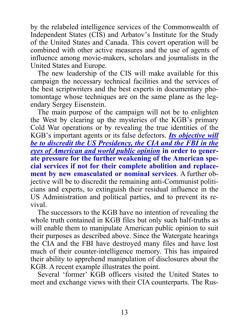by the relabeled intelligence services of the Commonwealth of Independent States (CIS) and Arbatov's Institute for the Study of the United States and Canada. This covert operation will be combined with other active measures and the use of agents of influence among movie-makers, scholars and journalists in the United States and Europe.

The new leadership of the CIS will make available for this campaign the necessary technical facilities and the services of the best scriptwriters and the best experts in documentary photomontage whose techniques are on the same plane as the legendary Sergey Eisenstein.

The main purpose of the campaign will not be to enlighten the West by clearing up the mysteries of the KGB's primary Cold War operations or by revealing the true identities of the KGB's important agents or its false defectors. *Its objective will be to discredit the US Presidency, the CIA and the FBI in the eyes of American and world public opinion* **in order to generate pressure for the further weakening of the American special services if not for their complete abolition and replacement by new emasculated or nominal services**. A further objective will be to discredit the remaining anti-Communist politicians and experts, to extinguish their residual influence in the US Administration and political parties, and to prevent its revival.

The successors to the KGB have no intention of revealing the whole truth contained in KGB files but only such half-truths as will enable them to manipulate American public opinion to suit their purposes as described above. Since the Watergate hearings the CIA and the FBI have destroyed many files and have lost much of their counter-intelligence memory. This has impaired their ability to apprehend manipulation of disclosures about the KGB. A recent example illustrates the point.

Several 'former' KGB officers visited the United States to meet and exchange views with their CIA counterparts. The Rus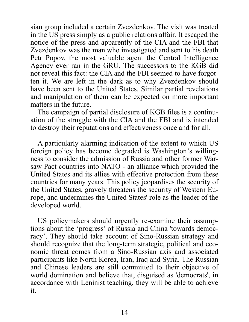sian group included a certain Zvezdenkov. The visit was treated in the US press simply as a public relations affair. It escaped the notice of the press and apparently of the CIA and the FBI that Zvezdenkov was the man who investigated and sent to his death Petr Popov, the most valuable agent the Central Intelligence Agency ever ran in the GRU. The successors to the KGB did not reveal this fact: the CIA and the FBI seemed to have forgotten it. We are left in the dark as to why Zvezdenkov should have been sent to the United States. Similar partial revelations and manipulation of them can be expected on more important matters in the future.

The campaign of partial disclosure of KGB files is a continuation of the struggle with the CIA and the FBI and is intended to destroy their reputations and effectiveness once and for all.

A particularly alarming indication of the extent to which US foreign policy has become degraded is Washington's willingness to consider the admission of Russia and other former Warsaw Pact countries into NATO - an alliance which provided the United States and its allies with effective protection from these countries for many years. This policy jeopardises the security of the United States, gravely threatens the security of Western Europe, and undermines the United States' role as the leader of the developed world.

US policymakers should urgently re-examine their assumptions about the 'progress' of Russia and China 'towards democracy'. They should take account of Sino-Russian strategy and should recognize that the long-term strategic, political and economic threat comes from a Sino-Russian axis and associated participants like North Korea, Iran, Iraq and Syria. The Russian and Chinese leaders are still committed to their objective of world domination and believe that, disguised as 'democrats', in accordance with Leninist teaching, they will be able to achieve it.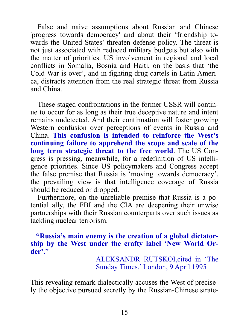False and naive assumptions about Russian and Chinese 'progress towards democracy' and about their 'friendship towards the United States' threaten defense policy. The threat is not just associated with reduced military budgets but also with the matter of priorities. US involvement in regional and local conflicts in Somalia, Bosnia and Haiti, on the basis that 'the Cold War is over', and in fighting drug cartels in Latin America, distracts attention from the real strategic threat from Russia and China.

These staged confrontations in the former USSR will continue to occur for as long as their true deceptive nature and intent remains undetected. And their continuation will foster growing Western confusion over perceptions of events in Russia and China. **This confusion is intended to reinforce the West's continuing failure to apprehend the scope and scale of the long term strategic threat to the free world**. The US Congress is pressing, meanwhile, for a redefinition of US intelligence priorities. Since US policymakers and Congress accept the false premise that Russia is 'moving towards democracy', the prevailing view is that intelligence coverage of Russia should be reduced or dropped.

Furthermore, on the unreliable premise that Russia is a potential ally, the FBI and the CIA are deepening their unwise partnerships with their Russian counterparts over such issues as tackling nuclear terrorism.

 **"Russia's main enemy is the creation of a global dictatorship by the West under the crafty label 'New World Order'.**"

> ALEKSANDR RUTSKOI,cited in 'The Sunday Times,' London, 9 April 1995

This revealing remark dialectically accuses the West of precisely the objective pursued secretly by the Russian-Chinese strate